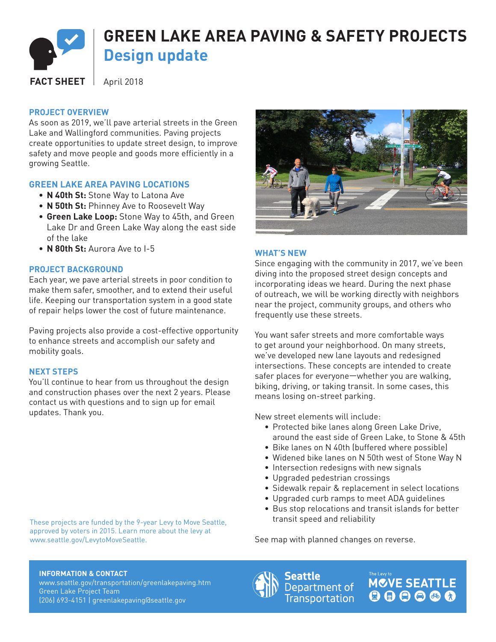

#### **PROJECT OVERVIEW**

As soon as 2019, we'll pave arterial streets in the Green Lake and Wallingford communities. Paving projects create opportunities to update street design, to improve safety and move people and goods more efficiently in a growing Seattle.

# **GREEN LAKE AREA PAVING LOCATIONS**

- **N 40th St:** Stone Way to Latona Ave
- **N 50th St:** Phinney Ave to Roosevelt Way
- **Green Lake Loop:** Stone Way to 45th, and Green Lake Dr and Green Lake Way along the east side of the lake
- **N 80th St:** Aurora Ave to I-5

# **PROJECT BACKGROUND**

Each year, we pave arterial streets in poor condition to make them safer, smoother, and to extend their useful life. Keeping our transportation system in a good state of repair helps lower the cost of future maintenance.

Paving projects also provide a cost-effective opportunity to enhance streets and accomplish our safety and mobility goals.

# **NEXT STEPS**

You'll continue to hear from us throughout the design and construction phases over the next 2 years. Please contact us with questions and to sign up for email updates. Thank you.

These projects are funded by the 9-year Levy to Move Seattle, approved by voters in 2015. Learn more about the levy at www.seattle.gov/LevytoMoveSeattle.



#### **WHAT'S NEW**

Since engaging with the community in 2017, we've been diving into the proposed street design concepts and incorporating ideas we heard. During the next phase of outreach, we will be working directly with neighbors near the project, community groups, and others who frequently use these streets.

You want safer streets and more comfortable ways to get around your neighborhood. On many streets, we've developed new lane layouts and redesigned intersections. These concepts are intended to create safer places for everyone—whether you are walking, biking, driving, or taking transit. In some cases, this means losing on-street parking.

New street elements will include:

- Protected bike lanes along Green Lake Drive, around the east side of Green Lake, to Stone & 45th
- Bike lanes on N 40th (buffered where possible)
- Widened bike lanes on N 50th west of Stone Way N
- Intersection redesigns with new signals
- Upgraded pedestrian crossings
- Sidewalk repair & replacement in select locations
- Upgraded curb ramps to meet ADA guidelines
- Bus stop relocations and transit islands for better transit speed and reliability

See map with planned changes on reverse.

#### **INFORMATION & CONTACT**

www.seattle.gov/transportation/greenlakepaving.htm Green Lake Project Team (206) 693-4151 | greenlakepaving@seattle.gov



Seattle Department of **Transportation**  **MCVE SEATTLE**  $000000$